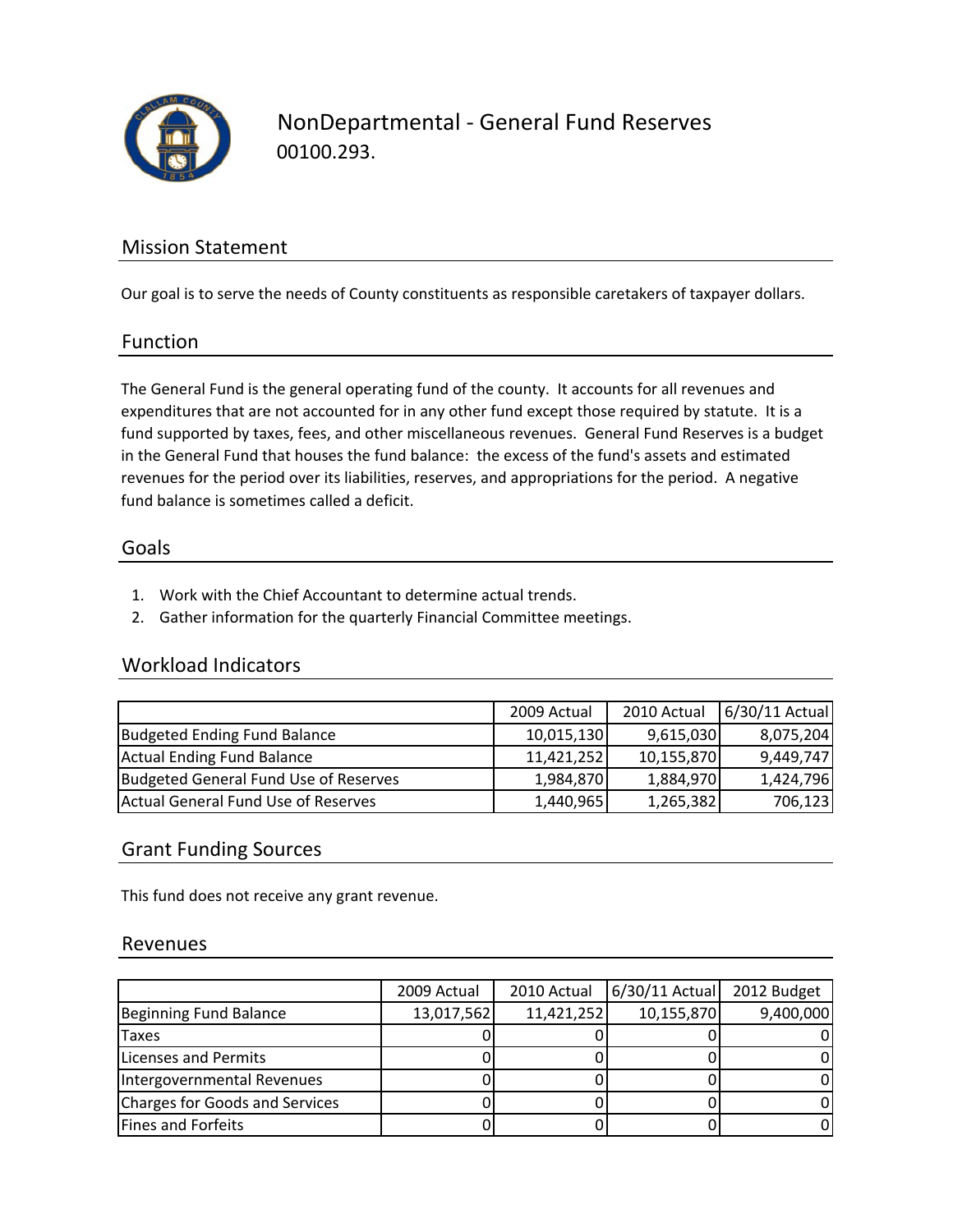

NonDepartmental ‐ General Fund Reserves 00100.293.

## Mission Statement

Our goal is to serve the needs of County constituents as responsible caretakers of taxpayer dollars.

#### Function

The General Fund is the general operating fund of the county. It accounts for all revenues and expenditures that are not accounted for in any other fund except those required by statute. It is a fund supported by taxes, fees, and other miscellaneous revenues. General Fund Reserves is a budget in the General Fund that houses the fund balance: the excess of the fund's assets and estimated revenues for the period over its liabilities, reserves, and appropriations for the period. A negative fund balance is sometimes called a deficit.

#### Goals

- 1. Work with the Chief Accountant to determine actual trends.
- 2. Gather information for the quarterly Financial Committee meetings.

## Workload Indicators

|                                       | 2009 Actual | 2010 Actual | 6/30/11 Actual |
|---------------------------------------|-------------|-------------|----------------|
| <b>Budgeted Ending Fund Balance</b>   | 10,015,130  | 9,615,030   | 8,075,204      |
| Actual Ending Fund Balance            | 11,421,252  | 10,155,870  | 9,449,747      |
| Budgeted General Fund Use of Reserves | 1,984,870   | 1,884,970   | 1,424,796      |
| Actual General Fund Use of Reserves   | 1,440,965   | 1,265,382   | 706,123        |

## Grant Funding Sources

This fund does not receive any grant revenue.

#### Revenues

|                                | 2009 Actual | 2010 Actual | 6/30/11 Actual 2012 Budget |           |
|--------------------------------|-------------|-------------|----------------------------|-----------|
| Beginning Fund Balance         | 13,017,562  | 11,421,252  | 10,155,870                 | 9,400,000 |
| <b>Taxes</b>                   |             |             |                            |           |
| Licenses and Permits           |             |             |                            |           |
| Intergovernmental Revenues     |             |             |                            |           |
| Charges for Goods and Services |             |             |                            | 0         |
| Fines and Forfeits             |             |             |                            | 0         |